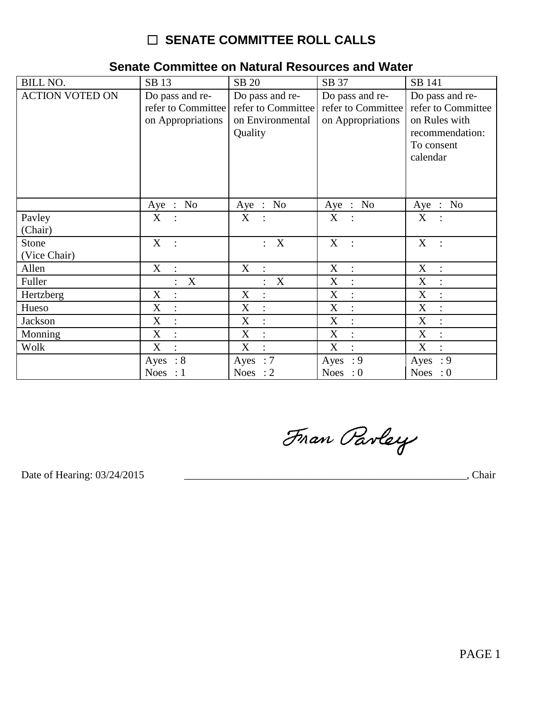# **O SENATE COMMITTEE ROLL CALLS**

### Senate Committee on Natural Resources and Water

| <b>BILL NO.</b>        | SB 13                                                      | SB 20                                                                | SB 37                                                      | SB 141                                                                                              |
|------------------------|------------------------------------------------------------|----------------------------------------------------------------------|------------------------------------------------------------|-----------------------------------------------------------------------------------------------------|
| <b>ACTION VOTED ON</b> | Do pass and re-<br>refer to Committee<br>on Appropriations | Do pass and re-<br>refer to Committee<br>on Environmental<br>Quality | Do pass and re-<br>refer to Committee<br>on Appropriations | Do pass and re-<br>refer to Committee<br>on Rules with<br>recommendation:<br>To consent<br>calendar |
|                        | Aye : No                                                   | Aye : No                                                             | Aye : No                                                   | Aye : No                                                                                            |
| Pavley                 | X                                                          | X                                                                    | X                                                          | X                                                                                                   |
| (Chair)                |                                                            |                                                                      |                                                            |                                                                                                     |
| Stone                  | X<br>$\mathbf{r}$                                          | $\mathbf X$<br>$\ddot{\phantom{0}}$                                  | $X_{\mathcal{C}}$<br>$\sim$ :                              | X                                                                                                   |
| (Vice Chair)           |                                                            |                                                                      |                                                            |                                                                                                     |
| Allen                  | X                                                          | X                                                                    | X<br>$\sim$ 1                                              | X<br>$\ddot{\phantom{1}}$ :                                                                         |
| Fuller                 | X<br>$\ddot{\cdot}$                                        | X<br>$\ddot{\cdot}$                                                  | X<br>$\ddot{\cdot}$                                        | X<br>$\ddot{\cdot}$                                                                                 |
| Hertzberg              | X<br>$\ddot{\cdot}$                                        | X<br>$\ddot{\cdot}$                                                  | X<br>$\ddot{\phantom{a}}$                                  | X<br>$\ddot{\cdot}$                                                                                 |
| Hueso                  | X                                                          | X                                                                    | $\mathbf{X}$<br>$\ddot{\cdot}$                             | X                                                                                                   |
| Jackson                | X                                                          | X<br>$\ddot{\cdot}$                                                  | X<br>$\ddot{\cdot}$                                        | X<br>$\vdots$                                                                                       |
| Monning                | X<br>$\ddot{\cdot}$                                        | $X_{\mathcal{L}}$<br>$\therefore$                                    | X<br>$\sim$ 1.                                             | X<br>$\ddot{\cdot}$                                                                                 |
| Wolk                   | X                                                          | X<br>$\ddot{\cdot}$                                                  | X<br>$\ddot{\cdot}$                                        | X<br>$\cdot$                                                                                        |
|                        | Ayes : $8$                                                 | Ayes : $7$                                                           | Ayes : $9$                                                 | Ayes : $9$                                                                                          |
|                        | Noes : $1$                                                 | Noes : $2$                                                           | Noes : $0$                                                 | Noes : $0$                                                                                          |

Fran Parley

Date of Hearing: 03/24/2015

 $\overline{\phantom{a}}$ , Chair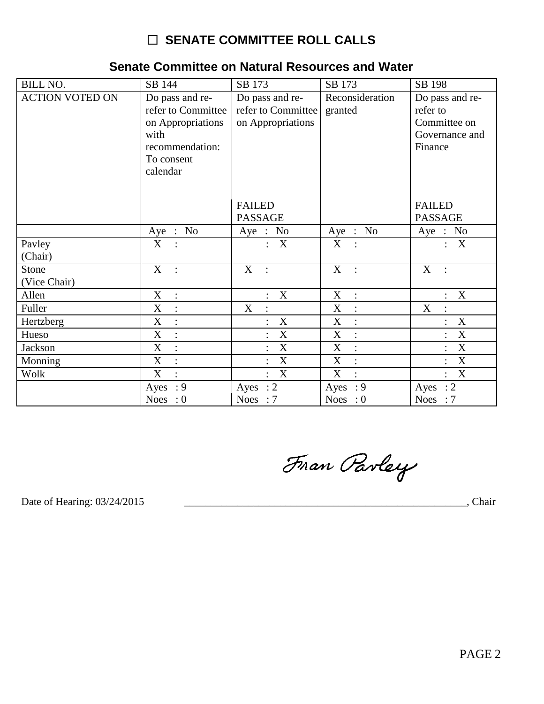## □ SENATE COMMITTEE ROLL CALLS

#### Senate Committee on Natural Resources and Water

| <b>BILL NO.</b>        | SB 144                                                     | SB 173                                                     | SB 173                              | SB 198                                      |
|------------------------|------------------------------------------------------------|------------------------------------------------------------|-------------------------------------|---------------------------------------------|
| <b>ACTION VOTED ON</b> | Do pass and re-<br>refer to Committee<br>on Appropriations | Do pass and re-<br>refer to Committee<br>on Appropriations | Reconsideration<br>granted          | Do pass and re-<br>refer to<br>Committee on |
|                        | with                                                       |                                                            |                                     | Governance and                              |
|                        | recommendation:<br>To consent                              |                                                            |                                     | Finance                                     |
|                        | calendar                                                   |                                                            |                                     |                                             |
|                        |                                                            |                                                            |                                     |                                             |
|                        |                                                            | <b>FAILED</b><br><b>PASSAGE</b>                            |                                     | <b>FAILED</b><br><b>PASSAGE</b>             |
|                        |                                                            |                                                            |                                     |                                             |
|                        | Aye : No                                                   | Aye : No                                                   | Aye : No                            | Aye : No                                    |
| Pavley                 | X                                                          | $\mathbf X$<br>$\mathbf{.}$                                | $\mathbf X$                         | X                                           |
| (Chair)                |                                                            |                                                            |                                     |                                             |
| Stone                  | $\mathbf X$<br>$\ddots$                                    | X<br>$\ddots$                                              | X<br>$\mathbb{R}$                   | X<br>$\cdot$ :                              |
| (Vice Chair)           |                                                            |                                                            |                                     |                                             |
| Allen                  | $\mathbf X$<br>$\therefore$                                | X<br>$\ddot{\cdot}$                                        | $\mathbf X$<br>$\mathbb{R}^2$       | X                                           |
| Fuller                 | $\mathbf X$<br>$\ddot{\cdot}$                              | X<br>$\ddot{\cdot}$                                        | X<br>$\mathcal{L}$                  | X<br>$\ddot{\cdot}$                         |
| Hertzberg              | X<br>$\ddot{\cdot}$                                        | $\mathbf X$                                                | $\mathbf X$<br>$\ddot{\cdot}$       | X                                           |
| Hueso                  | X<br>$\ddot{\cdot}$                                        | $\mathbf X$                                                | $\mathbf X$<br>$\ddot{\cdot}$       | $\mathbf X$                                 |
| Jackson                | X<br>$\ddot{\cdot}$                                        | $\mathbf X$                                                | $\mathbf X$<br>$\ddot{\phantom{a}}$ | $\mathbf X$                                 |
| Monning                | $\boldsymbol{\mathrm{X}}$                                  | $\mathbf X$                                                | X                                   | X                                           |
| Wolk                   | X                                                          | $\mathbf X$<br>$\vdots$                                    | X                                   | $\mathbf X$                                 |
|                        | : 9<br>Ayes                                                | : 2<br>Ayes                                                | : 9<br>Ayes                         | $\therefore$ 2<br>Ayes                      |
|                        | Noes : $0$                                                 | <b>Noes</b><br>$\therefore 7$                              | Noes : $0$                          | Noes : $7$                                  |

Fran Parley

Date of Hearing: 03/24/2015

Chair (Chair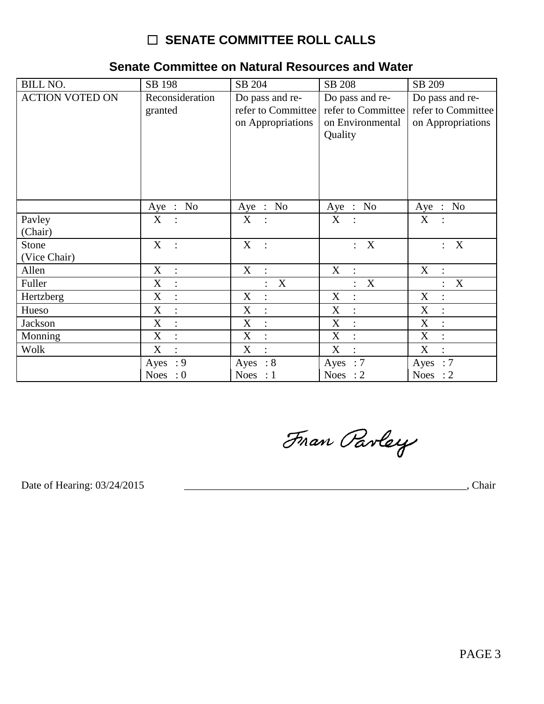# □ SENATE COMMITTEE ROLL CALLS

### Senate Committee on Natural Resources and Water

| <b>BILL NO.</b>        | SB 198                                      | SB 204                                      | SB 208                                | SB 209                            |
|------------------------|---------------------------------------------|---------------------------------------------|---------------------------------------|-----------------------------------|
| <b>ACTION VOTED ON</b> | Reconsideration                             | Do pass and re-                             | Do pass and re-                       | Do pass and re-                   |
|                        | granted                                     | refer to Committee                          | refer to Committee                    | refer to Committee                |
|                        |                                             | on Appropriations                           | on Environmental                      | on Appropriations                 |
|                        |                                             |                                             | Quality                               |                                   |
|                        |                                             |                                             |                                       |                                   |
|                        |                                             |                                             |                                       |                                   |
|                        |                                             |                                             |                                       |                                   |
|                        |                                             |                                             |                                       |                                   |
|                        | Aye : No                                    | Aye : No                                    | Aye : No                              | Aye : No                          |
| Pavley                 | X                                           | X                                           | X                                     | X                                 |
| (Chair)                |                                             |                                             |                                       |                                   |
| Stone                  | X<br>$\cdot$ :                              | X<br>$\sim$ 1                               | X<br>$\mathbf{L}$                     | X<br>$\ddot{\cdot}$               |
| (Vice Chair)           |                                             |                                             |                                       |                                   |
| Allen                  | X<br>$\therefore$                           | X<br>$\ddot{\cdot}$                         | X<br>$\ddot{\phantom{1}}$ :           | X<br>$\mathbb{R}^2$               |
| Fuller                 | X<br>$\ddot{\cdot}$                         | X                                           | X<br>$\ddot{\phantom{a}}$             | X<br>$\ddot{\cdot}$               |
| Hertzberg              | $\boldsymbol{\mathrm{X}}$<br>$\ddot{\cdot}$ | X<br>$\ddot{\phantom{a}}$                   | $\boldsymbol{X}$<br>$\vdots$          | X<br>$\ddot{\cdot}$               |
| Hueso                  | $\boldsymbol{\mathrm{X}}$                   | X                                           | $\boldsymbol{\mathrm{X}}$<br>$\vdots$ | X<br>$\ddot{\cdot}$               |
| Jackson                | X<br>$\ddot{\cdot}$                         | $\boldsymbol{\mathrm{X}}$<br>$\ddot{\cdot}$ | $\mathbf X$<br>$\vdots$               | X<br>$\ddot{\cdot}$               |
| Monning                | X<br>$\ddot{\cdot}$                         | X<br>$\ddot{\cdot}$                         | X<br>$\ddot{\cdot}$                   | X<br>$\therefore$                 |
| Wolk                   | X<br>$\ddot{\cdot}$                         | X<br>$\ddot{\cdot}$                         | X<br>$\ddot{\cdot}$                   | $X_{\mathcal{E}}$<br>$\therefore$ |
|                        | : 9<br>Ayes                                 | Ayes : $8$                                  | Ayes : $7$                            | Ayes : $7$                        |
|                        | <b>Noes</b><br>$\cdot 0$                    | <b>Noes</b><br>$\therefore$ 1               | <b>Noes</b><br>$\therefore$ 2         | Noes : $2$                        |

Fran Parley

Date of Hearing: 03/24/2015

, Chair